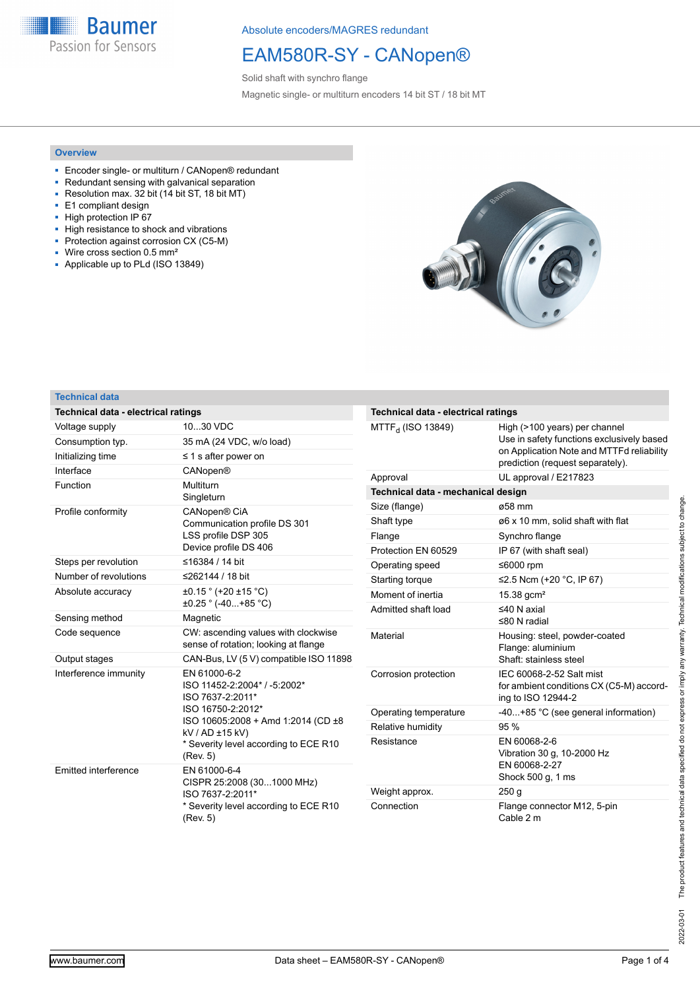**Baumer** Passion for Sensors

Absolute encoders/MAGRES redundant

## EAM580R-SY - CANopen®

Solid shaft with synchro flange Magnetic single- or multiturn encoders 14 bit ST / 18 bit MT

#### **Overview**

- Encoder single- or multiturn / CANopen<sup>®</sup> redundant
- Redundant sensing with galvanical separation
- Resolution max. 32 bit (14 bit ST, 18 bit MT) ■ E1 compliant design
- High protection IP 67
- High resistance to shock and vibrations
- Protection against corrosion CX (C5-M)
- Wire cross section 0.5 mm²
- Applicable up to PLd (ISO 13849)



#### **Technical data**

| Technical data - electrical ratings                 |                                                                             | Technical data - electrica     |  |  |  |  |  |  |
|-----------------------------------------------------|-----------------------------------------------------------------------------|--------------------------------|--|--|--|--|--|--|
| Voltage supply                                      | 1030 VDC                                                                    | MTTF <sub>d</sub> (ISO 13849)  |  |  |  |  |  |  |
| Consumption typ.                                    | 35 mA (24 VDC, w/o load)                                                    |                                |  |  |  |  |  |  |
| Initializing time                                   | $\leq$ 1 s after power on                                                   |                                |  |  |  |  |  |  |
| Interface                                           | <b>CANopen®</b>                                                             | Approval                       |  |  |  |  |  |  |
| Function                                            | Multiturn                                                                   | <b>Technical data - mechan</b> |  |  |  |  |  |  |
|                                                     | Singleturn                                                                  | Size (flange)                  |  |  |  |  |  |  |
| Profile conformity                                  | CANopen® CiA                                                                | Shaft type                     |  |  |  |  |  |  |
|                                                     | Communication profile DS 301<br>LSS profile DSP 305                         | Flange                         |  |  |  |  |  |  |
|                                                     | Device profile DS 406                                                       | Protection EN 60529            |  |  |  |  |  |  |
| Steps per revolution                                | ≤16384 / 14 bit                                                             | Operating speed                |  |  |  |  |  |  |
| Number of revolutions                               | ≤262144 / 18 bit                                                            | Starting torque                |  |  |  |  |  |  |
| $\pm 0.15$ ° (+20 $\pm 15$ °C)<br>Absolute accuracy |                                                                             | Moment of inertia              |  |  |  |  |  |  |
|                                                     | $\pm 0.25$ $\degree$ (-40+85 $\degree$ C)                                   | Admitted shaft load            |  |  |  |  |  |  |
| Sensing method                                      | Magnetic                                                                    |                                |  |  |  |  |  |  |
| Code sequence                                       | CW: ascending values with clockwise<br>sense of rotation; looking at flange | Material                       |  |  |  |  |  |  |
| Output stages                                       | CAN-Bus, LV (5 V) compatible ISO 11898                                      |                                |  |  |  |  |  |  |
| Interference immunity                               | EN 61000-6-2<br>ISO 11452-2:2004* / -5:2002*<br>ISO 7637-2:2011*            | Corrosion protection           |  |  |  |  |  |  |
|                                                     | ISO 16750-2:2012*                                                           | Operating temperature          |  |  |  |  |  |  |
|                                                     | ISO 10605:2008 + Amd 1:2014 (CD ±8<br>kV / AD ±15 kV)                       | Relative humidity              |  |  |  |  |  |  |
|                                                     | * Severity level according to ECE R10<br>(Rev. 5)                           | Resistance                     |  |  |  |  |  |  |
| Emitted interference                                | EN 61000-6-4                                                                |                                |  |  |  |  |  |  |
|                                                     | CISPR 25:2008 (301000 MHz)<br>ISO 7637-2:2011*                              | Weight approx.                 |  |  |  |  |  |  |
|                                                     | * Severity level according to ECE R10                                       | Connection                     |  |  |  |  |  |  |
|                                                     | (Rev. 5)                                                                    |                                |  |  |  |  |  |  |

| Technical data - electrical ratings |                                                                                                                                                             |
|-------------------------------------|-------------------------------------------------------------------------------------------------------------------------------------------------------------|
| MTTF <sub>d</sub> (ISO 13849)       | High (>100 years) per channel<br>Use in safety functions exclusively based<br>on Application Note and MTTFd reliability<br>prediction (request separately). |
| Approval                            | UL approval / E217823                                                                                                                                       |
| Technical data - mechanical design  |                                                                                                                                                             |
| Size (flange)                       | ø58 mm                                                                                                                                                      |
| Shaft type                          | ø6 x 10 mm, solid shaft with flat                                                                                                                           |
| Flange                              | Synchro flange                                                                                                                                              |
| Protection EN 60529                 | IP 67 (with shaft seal)                                                                                                                                     |
| Operating speed                     | ≤6000 rpm                                                                                                                                                   |
| Starting torque                     | ≤2.5 Ncm (+20 °C, IP 67)                                                                                                                                    |
| Moment of inertia                   | 15.38 gcm <sup>2</sup>                                                                                                                                      |
| Admitted shaft load                 | $≤40$ N axial<br>$≤80 N$ radial                                                                                                                             |
| Material                            | Housing: steel, powder-coated<br>Flange: aluminium<br>Shaft: stainless steel                                                                                |
| Corrosion protection                | IEC 60068-2-52 Salt mist<br>for ambient conditions CX (C5-M) accord-<br>ing to ISO 12944-2                                                                  |
| Operating temperature               | -40+85 °C (see general information)                                                                                                                         |
| Relative humidity                   | 95%                                                                                                                                                         |
| Resistance                          | EN 60068-2-6<br>Vibration 30 g, 10-2000 Hz<br>EN 60068-2-27<br>Shock 500 g, 1 ms                                                                            |
| Weight approx.                      | 250q                                                                                                                                                        |
| Connection                          | Flange connector M12, 5-pin<br>Cable 2 m                                                                                                                    |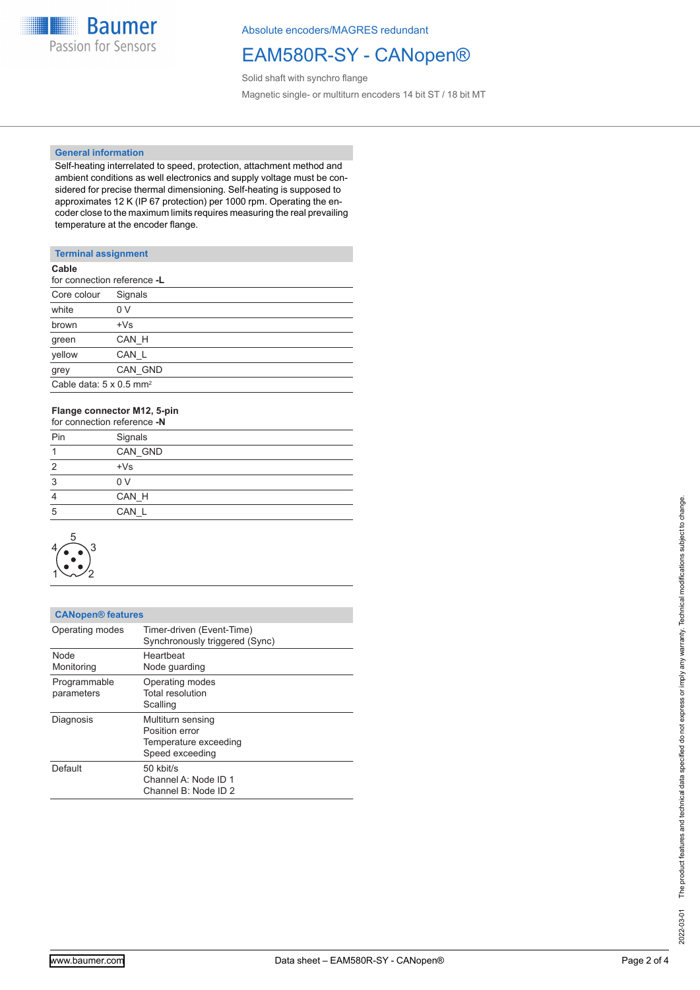

Absolute encoders/MAGRES redundant

## EAM580R-SY - CANopen®

Solid shaft with synchro flange Magnetic single- or multiturn encoders 14 bit ST / 18 bit MT

#### **General information**

Self-heating interrelated to speed, protection, attachment method and ambient conditions as well electronics and supply voltage must be considered for precise thermal dimensioning. Self-heating is supposed to approximates 12 K (IP 67 protection) per 1000 rpm. Operating the encoder close to the maximum limits requires measuring the real prevailing temperature at the encoder flange.

#### **Terminal assignment**

| for connection reference -L                |
|--------------------------------------------|
| Signals                                    |
| 0 V                                        |
| $+Vs$                                      |
| CAN H                                      |
| CAN L                                      |
| CAN GND                                    |
| Cable data: $5 \times 0.5$ mm <sup>2</sup> |
|                                            |

### **Flange connector M12, 5-pin**

|     | for connection reference -N |  |
|-----|-----------------------------|--|
| Pin | Signals                     |  |
|     | CAN GND                     |  |
| 2   | $+Vs$                       |  |
| 3   | 0 <sub>V</sub>              |  |
| 4   | CAN H                       |  |
| 5   | CAN L                       |  |



| <b>CANopen® features</b>   |                                                                                 |
|----------------------------|---------------------------------------------------------------------------------|
| Operating modes            | Timer-driven (Event-Time)<br>Synchronously triggered (Sync)                     |
| <b>Node</b><br>Monitoring  | Heartbeat<br>Node guarding                                                      |
| Programmable<br>parameters | Operating modes<br>Total resolution<br>Scalling                                 |
| Diagnosis                  | Multiturn sensing<br>Position error<br>Temperature exceeding<br>Speed exceeding |
| Default                    | 50 kbit/s<br>Channel A: Node ID 1<br>Channel B: Node ID 2                       |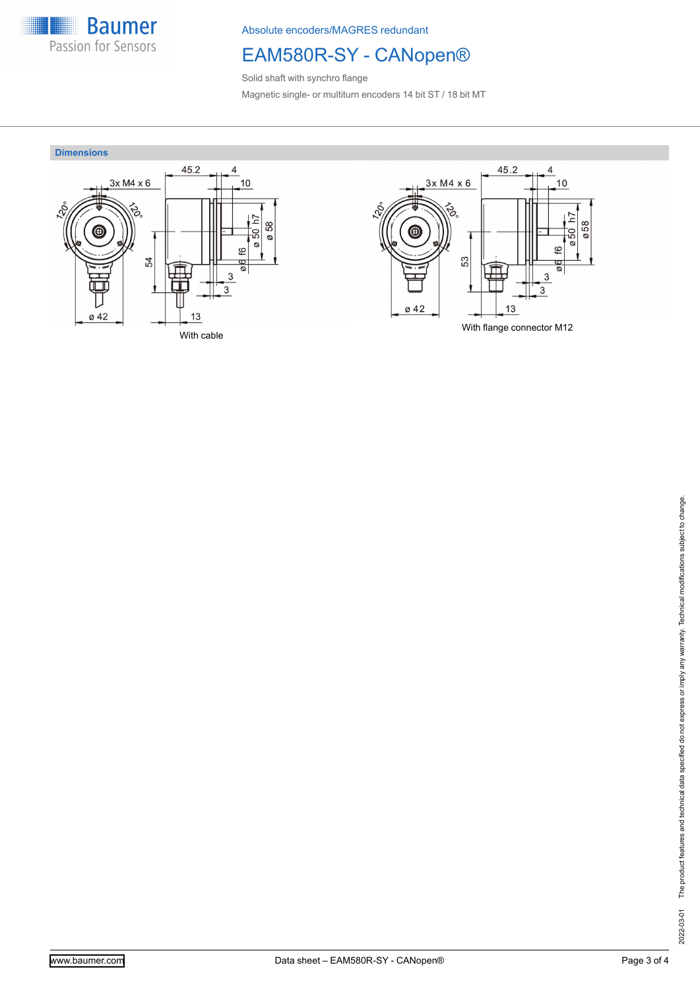

Absolute encoders/MAGRES redundant

# EAM580R-SY - CANopen®

Solid shaft with synchro flange Magnetic single- or multiturn encoders 14 bit ST / 18 bit MT